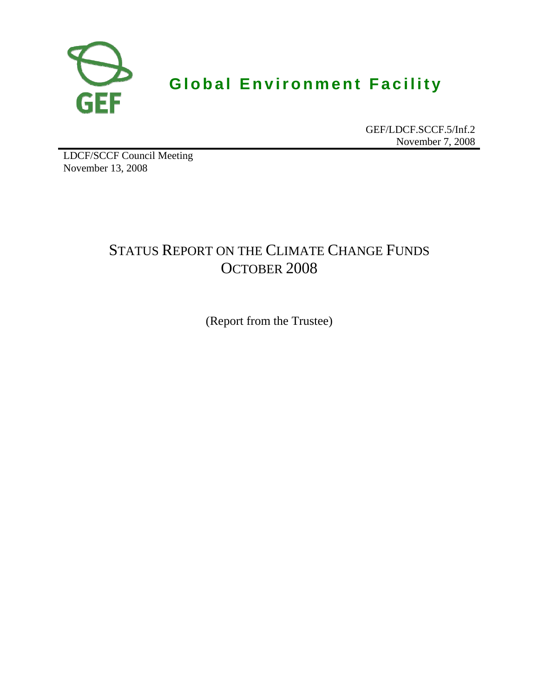

# **Global Environment Facility**

GEF/LDCF.SCCF.5/Inf.2 November 7, 2008

LDCF/SCCF Council Meeting November 13, 2008

## STATUS REPORT ON THE CLIMATE CHANGE FUNDS OCTOBER 2008

(Report from the Trustee)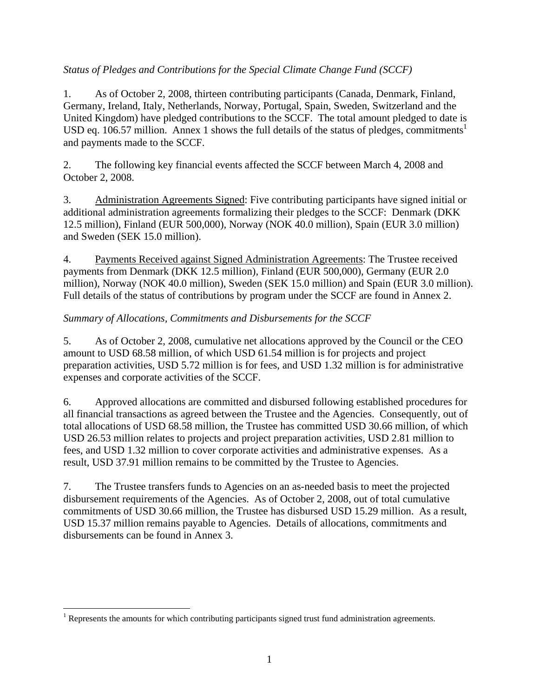### *Status of Pledges and Contributions for the Special Climate Change Fund (SCCF)*

1. As of October 2, 2008, thirteen contributing participants (Canada, Denmark, Finland, Germany, Ireland, Italy, Netherlands, Norway, Portugal, Spain, Sweden, Switzerland and the United Kingdom) have pledged contributions to the SCCF. The total amount pledged to date is USD eq. 106.57 million. Annex 1 shows the full details of the status of pledges, commitments<sup>1</sup> and payments made to the SCCF.

2. The following key financial events affected the SCCF between March 4, 2008 and October 2, 2008.

3. Administration Agreements Signed: Five contributing participants have signed initial or additional administration agreements formalizing their pledges to the SCCF: Denmark (DKK 12.5 million), Finland (EUR 500,000), Norway (NOK 40.0 million), Spain (EUR 3.0 million) and Sweden (SEK 15.0 million).

4. Payments Received against Signed Administration Agreements: The Trustee received payments from Denmark (DKK 12.5 million), Finland (EUR 500,000), Germany (EUR 2.0 million), Norway (NOK 40.0 million), Sweden (SEK 15.0 million) and Spain (EUR 3.0 million). Full details of the status of contributions by program under the SCCF are found in Annex 2.

### *Summary of Allocations, Commitments and Disbursements for the SCCF*

5. As of October 2, 2008, cumulative net allocations approved by the Council or the CEO amount to USD 68.58 million, of which USD 61.54 million is for projects and project preparation activities, USD 5.72 million is for fees, and USD 1.32 million is for administrative expenses and corporate activities of the SCCF.

6. Approved allocations are committed and disbursed following established procedures for all financial transactions as agreed between the Trustee and the Agencies. Consequently, out of total allocations of USD 68.58 million, the Trustee has committed USD 30.66 million, of which USD 26.53 million relates to projects and project preparation activities, USD 2.81 million to fees, and USD 1.32 million to cover corporate activities and administrative expenses. As a result, USD 37.91 million remains to be committed by the Trustee to Agencies.

7. The Trustee transfers funds to Agencies on an as-needed basis to meet the projected disbursement requirements of the Agencies. As of October 2, 2008, out of total cumulative commitments of USD 30.66 million, the Trustee has disbursed USD 15.29 million. As a result, USD 15.37 million remains payable to Agencies. Details of allocations, commitments and disbursements can be found in Annex 3.

The amounts for which contributing participants signed trust fund administration agreements.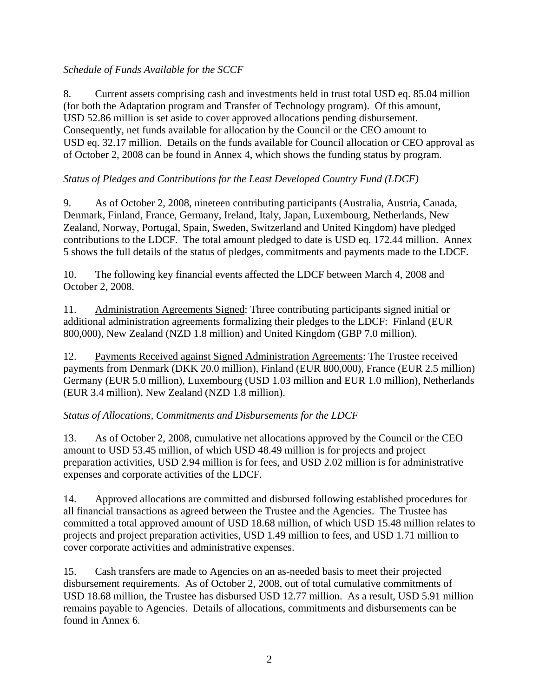### *Schedule of Funds Available for the SCCF*

8. Current assets comprising cash and investments held in trust total USD eq. 85.04 million (for both the Adaptation program and Transfer of Technology program). Of this amount, USD 52.86 million is set aside to cover approved allocations pending disbursement. Consequently, net funds available for allocation by the Council or the CEO amount to USD eq. 32.17 million. Details on the funds available for Council allocation or CEO approval as of October 2, 2008 can be found in Annex 4, which shows the funding status by program.

### *Status of Pledges and Contributions for the Least Developed Country Fund (LDCF)*

9. As of October 2, 2008, nineteen contributing participants (Australia, Austria, Canada, Denmark, Finland, France, Germany, Ireland, Italy, Japan, Luxembourg, Netherlands, New Zealand, Norway, Portugal, Spain, Sweden, Switzerland and United Kingdom) have pledged contributions to the LDCF. The total amount pledged to date is USD eq. 172.44 million. Annex 5 shows the full details of the status of pledges, commitments and payments made to the LDCF.

10. The following key financial events affected the LDCF between March 4, 2008 and October 2, 2008.

11. Administration Agreements Signed: Three contributing participants signed initial or additional administration agreements formalizing their pledges to the LDCF: Finland (EUR 800,000), New Zealand (NZD 1.8 million) and United Kingdom (GBP 7.0 million).

12. Payments Received against Signed Administration Agreements: The Trustee received payments from Denmark (DKK 20.0 million), Finland (EUR 800,000), France (EUR 2.5 million) Germany (EUR 5.0 million), Luxembourg (USD 1.03 million and EUR 1.0 million), Netherlands (EUR 3.4 million), New Zealand (NZD 1.8 million).

### *Status of Allocations, Commitments and Disbursements for the LDCF*

13. As of October 2, 2008, cumulative net allocations approved by the Council or the CEO amount to USD 53.45 million, of which USD 48.49 million is for projects and project preparation activities, USD 2.94 million is for fees, and USD 2.02 million is for administrative expenses and corporate activities of the LDCF.

14. Approved allocations are committed and disbursed following established procedures for all financial transactions as agreed between the Trustee and the Agencies. The Trustee has committed a total approved amount of USD 18.68 million, of which USD 15.48 million relates to projects and project preparation activities, USD 1.49 million to fees, and USD 1.71 million to cover corporate activities and administrative expenses.

15. Cash transfers are made to Agencies on an as-needed basis to meet their projected disbursement requirements. As of October 2, 2008, out of total cumulative commitments of USD 18.68 million, the Trustee has disbursed USD 12.77 million. As a result, USD 5.91 million remains payable to Agencies. Details of allocations, commitments and disbursements can be found in Annex 6.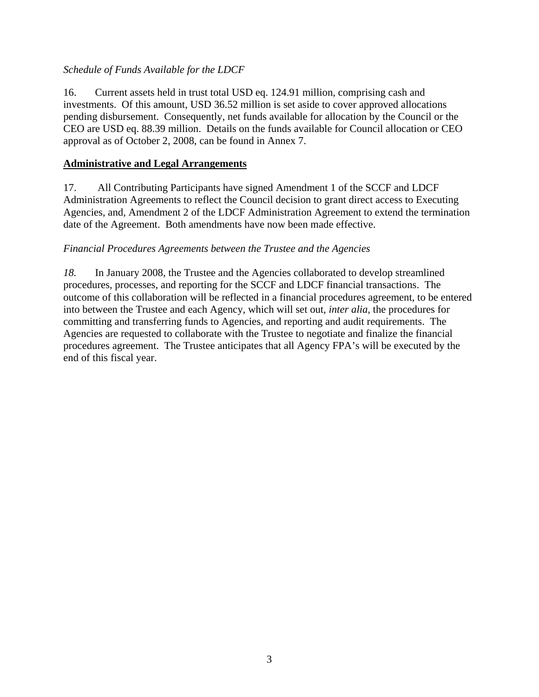### *Schedule of Funds Available for the LDCF*

16. Current assets held in trust total USD eq. 124.91 million, comprising cash and investments. Of this amount, USD 36.52 million is set aside to cover approved allocations pending disbursement. Consequently, net funds available for allocation by the Council or the CEO are USD eq. 88.39 million. Details on the funds available for Council allocation or CEO approval as of October 2, 2008, can be found in Annex 7.

### **Administrative and Legal Arrangements**

17. All Contributing Participants have signed Amendment 1 of the SCCF and LDCF Administration Agreements to reflect the Council decision to grant direct access to Executing Agencies, and, Amendment 2 of the LDCF Administration Agreement to extend the termination date of the Agreement. Both amendments have now been made effective.

### *Financial Procedures Agreements between the Trustee and the Agencies*

*18.* In January 2008, the Trustee and the Agencies collaborated to develop streamlined procedures, processes, and reporting for the SCCF and LDCF financial transactions. The outcome of this collaboration will be reflected in a financial procedures agreement, to be entered into between the Trustee and each Agency, which will set out, *inter alia,* the procedures for committing and transferring funds to Agencies, and reporting and audit requirements. The Agencies are requested to collaborate with the Trustee to negotiate and finalize the financial procedures agreement. The Trustee anticipates that all Agency FPA's will be executed by the end of this fiscal year.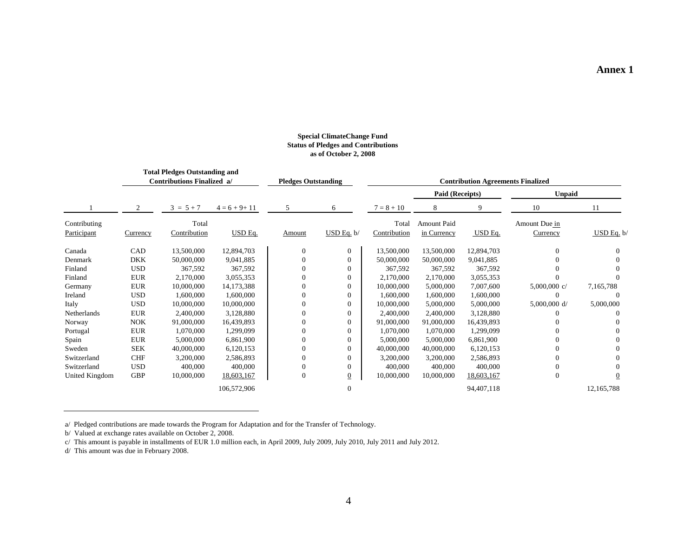#### **Special ClimateChange Fund Status of Pledges and Contributions as of October 2, 2008**

|                | Total Pledges Outstanding and<br><b>Contributions Finalized a/</b> |              |                  | <b>Pledges Outstanding</b> |                |              | <b>Contribution Agreements Finalized</b> |            |                |                |
|----------------|--------------------------------------------------------------------|--------------|------------------|----------------------------|----------------|--------------|------------------------------------------|------------|----------------|----------------|
|                |                                                                    |              |                  |                            |                |              | Paid (Receipts)                          |            | <b>Unpaid</b>  |                |
|                | 2                                                                  | $3 = 5 + 7$  | $4 = 6 + 9 + 11$ | 5                          | 6              | $7 = 8 + 10$ | 8                                        | 9          | 10             | 11             |
| Contributing   |                                                                    | Total        |                  |                            |                | Total        | Amount Paid                              |            | Amount Due in  |                |
| Participant    | Currency                                                           | Contribution | USD Eq.          | Amount                     | $USD$ Eq. $b/$ | Contribution | in Currency                              | USD Eq.    | Currency       | $USD$ Eq. b/   |
| Canada         | CAD                                                                | 13,500,000   | 12,894,703       |                            | $\overline{0}$ | 13,500,000   | 13,500,000                               | 12,894,703 | $\Omega$       | $\Omega$       |
| Denmark        | <b>DKK</b>                                                         | 50,000,000   | 9,041,885        |                            | $\overline{0}$ | 50,000,000   | 50,000,000                               | 9,041,885  |                | 0              |
| Finland        | <b>USD</b>                                                         | 367,592      | 367,592          |                            | 0              | 367,592      | 367,592                                  | 367,592    |                | 0              |
| Finland        | <b>EUR</b>                                                         | 2,170,000    | 3,055,353        |                            | $\overline{0}$ | 2,170,000    | 2,170,000                                | 3,055,353  |                | 0              |
| Germany        | <b>EUR</b>                                                         | 10,000,000   | 14,173,388       |                            | $\overline{0}$ | 10,000,000   | 5,000,000                                | 7,007,600  | 5,000,000 $c/$ | 7,165,788      |
| Ireland        | <b>USD</b>                                                         | 1,600,000    | 1,600,000        |                            | $\mathbf{0}$   | 1,600,000    | 1,600,000                                | 1,600,000  |                | $\Omega$       |
| Italy          | <b>USD</b>                                                         | 10,000,000   | 10,000,000       |                            | 0              | 10,000,000   | 5,000,000                                | 5,000,000  | 5,000,000 d/   | 5,000,000      |
| Netherlands    | <b>EUR</b>                                                         | 2,400,000    | 3,128,880        |                            |                | 2,400,000    | 2,400,000                                | 3,128,880  |                |                |
| Norway         | <b>NOK</b>                                                         | 91,000,000   | 16,439,893       |                            |                | 91,000,000   | 91,000,000                               | 16,439,893 |                |                |
| Portugal       | <b>EUR</b>                                                         | 1,070,000    | 1,299,099        |                            |                | 1,070,000    | 1,070,000                                | 1,299,099  |                |                |
| Spain          | <b>EUR</b>                                                         | 5,000,000    | 6,861,900        |                            | $\Omega$       | 5,000,000    | 5,000,000                                | 6,861,900  |                | 0              |
| Sweden         | <b>SEK</b>                                                         | 40,000,000   | 6,120,153        |                            | $\Omega$       | 40,000,000   | 40,000,000                               | 6,120,153  | 0              | $\Omega$       |
| Switzerland    | <b>CHF</b>                                                         | 3,200,000    | 2,586,893        |                            | 0              | 3,200,000    | 3,200,000                                | 2,586,893  | 0              | $\Omega$       |
| Switzerland    | <b>USD</b>                                                         | 400,000      | 400,000          |                            | $\Omega$       | 400,000      | 400,000                                  | 400,000    | $\Omega$       | 0              |
| United Kingdom | <b>GBP</b>                                                         | 10,000,000   | 18,603,167       | $\Omega$                   | $\overline{0}$ | 10,000,000   | 10,000,000                               | 18,603,167 | $\Omega$       | $\overline{0}$ |
|                |                                                                    |              | 106,572,906      |                            | $\theta$       |              |                                          | 94,407,118 |                | 12,165,788     |

a/ Pledged contributions are made towards the Program for Adaptation and for the Transfer of Technology.

b/ Valued at exchange rates available on October 2, 2008.

c/ This amount is payable in installments of EUR 1.0 million each, in April 2009, July 2009, July 2010, July 2011 and July 2012.

d/ This amount was due in February 2008.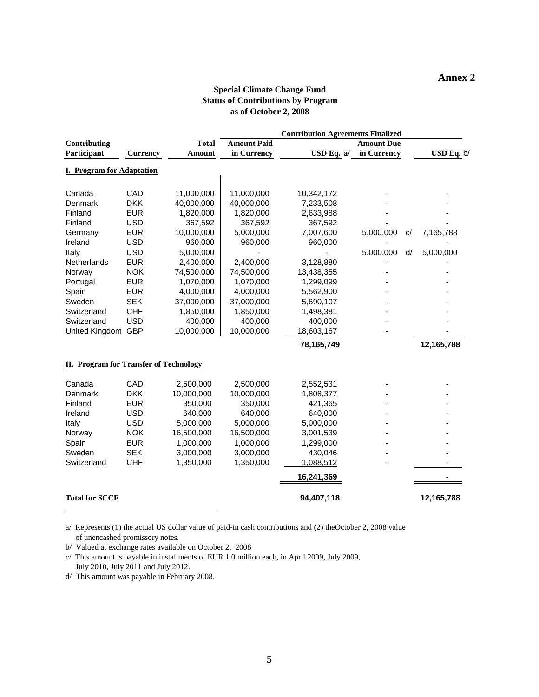#### **Annex 2**

#### **Special Climate Change Fund Status of Contributions by Program as of October 2, 2008**

|                                               |                 |               |                    | <b>Contribution Agreements Finalized</b> |                   |                 |  |
|-----------------------------------------------|-----------------|---------------|--------------------|------------------------------------------|-------------------|-----------------|--|
| Contributing                                  |                 | <b>Total</b>  | <b>Amount Paid</b> |                                          | <b>Amount Due</b> |                 |  |
| Participant                                   | <b>Currency</b> | <b>Amount</b> | in Currency        | USD Eq. a/                               | in Currency       | USD Eq. b/      |  |
| <b>I. Program for Adaptation</b>              |                 |               |                    |                                          |                   |                 |  |
|                                               |                 |               |                    |                                          |                   |                 |  |
| Canada                                        | CAD             | 11,000,000    | 11,000,000         | 10,342,172                               |                   |                 |  |
| Denmark                                       | <b>DKK</b>      | 40,000,000    | 40,000,000         | 7,233,508                                |                   |                 |  |
| Finland                                       | <b>EUR</b>      | 1,820,000     | 1,820,000          | 2,633,988                                |                   |                 |  |
| Finland                                       | <b>USD</b>      | 367,592       | 367,592            | 367,592                                  |                   |                 |  |
| Germany                                       | <b>EUR</b>      | 10,000,000    | 5,000,000          | 7,007,600                                | 5,000,000         | C/<br>7,165,788 |  |
| Ireland                                       | <b>USD</b>      | 960,000       | 960,000            | 960,000                                  |                   |                 |  |
| Italy                                         | <b>USD</b>      | 5,000,000     |                    |                                          | 5,000,000         | 5,000,000<br>d/ |  |
| Netherlands                                   | <b>EUR</b>      | 2,400,000     | 2,400,000          | 3,128,880                                |                   |                 |  |
| Norway                                        | <b>NOK</b>      | 74,500,000    | 74,500,000         | 13,438,355                               |                   |                 |  |
| Portugal                                      | <b>EUR</b>      | 1,070,000     | 1,070,000          | 1,299,099                                |                   |                 |  |
| Spain                                         | <b>EUR</b>      | 4,000,000     | 4,000,000          | 5,562,900                                |                   |                 |  |
| Sweden                                        | <b>SEK</b>      | 37,000,000    | 37,000,000         | 5,690,107                                |                   |                 |  |
| Switzerland                                   | <b>CHF</b>      | 1,850,000     | 1,850,000          | 1,498,381                                |                   |                 |  |
| Switzerland                                   | <b>USD</b>      | 400,000       | 400,000            | 400,000                                  |                   |                 |  |
| United Kingdom GBP                            |                 | 10,000,000    | 10,000,000         | 18,603,167                               |                   |                 |  |
|                                               |                 |               |                    | 78,165,749                               |                   | 12,165,788      |  |
| <b>II. Program for Transfer of Technology</b> |                 |               |                    |                                          |                   |                 |  |
| Canada                                        | CAD             | 2,500,000     | 2,500,000          | 2,552,531                                |                   |                 |  |
| Denmark                                       | <b>DKK</b>      | 10,000,000    | 10,000,000         | 1,808,377                                |                   |                 |  |
| Finland                                       | <b>EUR</b>      | 350,000       | 350,000            | 421,365                                  |                   |                 |  |
| Ireland                                       | <b>USD</b>      | 640,000       | 640,000            | 640,000                                  |                   |                 |  |
| Italy                                         | <b>USD</b>      | 5,000,000     | 5,000,000          | 5,000,000                                |                   |                 |  |
| Norway                                        | <b>NOK</b>      | 16,500,000    | 16,500,000         | 3,001,539                                |                   |                 |  |
| Spain                                         | <b>EUR</b>      | 1,000,000     | 1,000,000          | 1,299,000                                |                   |                 |  |
| Sweden                                        | <b>SEK</b>      | 3,000,000     | 3,000,000          | 430,046                                  |                   |                 |  |
| Switzerland                                   | <b>CHF</b>      | 1,350,000     | 1,350,000          | 1,088,512                                |                   |                 |  |
|                                               |                 |               |                    | 16,241,369                               |                   |                 |  |
| <b>Total for SCCF</b>                         |                 |               |                    | 94,407,118                               |                   | 12,165,788      |  |

a/ Represents (1) the actual US dollar value of paid-in cash contributions and (2) theOctober 2, 2008 value of unencashed promissory notes.

b/ Valued at exchange rates available on October 2, 2008

c/ This amount is payable in installments of EUR 1.0 million each, in April 2009, July 2009, July 2010, July 2011 and July 2012.

d/ This amount was payable in February 2008.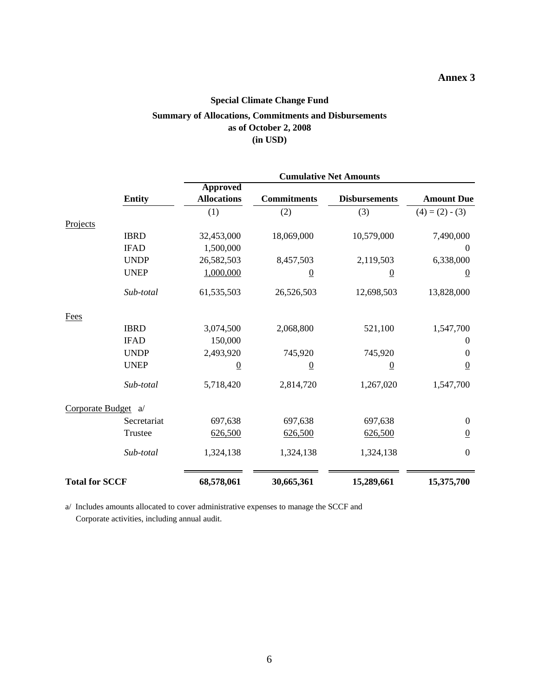### **Annex 3**

### **Special Climate Change Fund**

### **Summary of Allocations, Commitments and Disbursements as of October 2, 2008 (in USD)**

|                       |               | <b>Cumulative Net Amounts</b>         |                    |                      |                   |  |  |  |
|-----------------------|---------------|---------------------------------------|--------------------|----------------------|-------------------|--|--|--|
|                       | <b>Entity</b> | <b>Approved</b><br><b>Allocations</b> | <b>Commitments</b> | <b>Disbursements</b> | <b>Amount Due</b> |  |  |  |
|                       |               | (1)                                   | (2)                | (3)                  | $(4) = (2) - (3)$ |  |  |  |
| Projects              |               |                                       |                    |                      |                   |  |  |  |
|                       | <b>IBRD</b>   | 32,453,000                            | 18,069,000         | 10,579,000           | 7,490,000         |  |  |  |
|                       | <b>IFAD</b>   | 1,500,000                             |                    |                      | $\boldsymbol{0}$  |  |  |  |
|                       | <b>UNDP</b>   | 26,582,503                            | 8,457,503          | 2,119,503            | 6,338,000         |  |  |  |
|                       | <b>UNEP</b>   | 1,000,000                             | $\overline{0}$     | $\overline{0}$       | $\overline{0}$    |  |  |  |
|                       | Sub-total     | 61,535,503                            | 26,526,503         | 12,698,503           | 13,828,000        |  |  |  |
| <b>Fees</b>           |               |                                       |                    |                      |                   |  |  |  |
|                       | <b>IBRD</b>   | 3,074,500                             | 2,068,800          | 521,100              | 1,547,700         |  |  |  |
|                       | <b>IFAD</b>   | 150,000                               |                    |                      | 0                 |  |  |  |
|                       | <b>UNDP</b>   | 2,493,920                             | 745,920            | 745,920              | 0                 |  |  |  |
|                       | <b>UNEP</b>   | $\overline{0}$                        | $\overline{0}$     | $\overline{0}$       | $\overline{0}$    |  |  |  |
|                       | Sub-total     | 5,718,420                             | 2,814,720          | 1,267,020            | 1,547,700         |  |  |  |
| Corporate Budget a/   |               |                                       |                    |                      |                   |  |  |  |
|                       | Secretariat   | 697,638                               | 697,638            | 697,638              | $\boldsymbol{0}$  |  |  |  |
|                       | Trustee       | 626,500                               | 626,500            | 626,500              | $\overline{0}$    |  |  |  |
|                       | Sub-total     | 1,324,138                             | 1,324,138          | 1,324,138            | $\boldsymbol{0}$  |  |  |  |
| <b>Total for SCCF</b> |               | 68,578,061                            | 30,665,361         | 15,289,661           | 15,375,700        |  |  |  |

a/ Includes amounts allocated to cover administrative expenses to manage the SCCF and Corporate activities, including annual audit.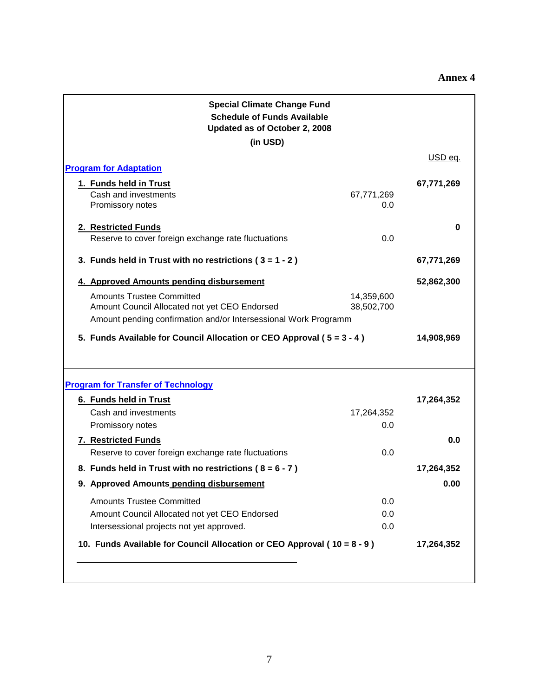| <b>Special Climate Change Fund</b><br><b>Schedule of Funds Available</b><br>Updated as of October 2, 2008                                            |                          |                   |
|------------------------------------------------------------------------------------------------------------------------------------------------------|--------------------------|-------------------|
| (in USD)                                                                                                                                             |                          |                   |
| <b>Program for Adaptation</b>                                                                                                                        |                          | USD eq.           |
| 1. Funds held in Trust<br>Cash and investments<br>Promissory notes                                                                                   | 67,771,269<br>0.0        | 67,771,269        |
| 2. Restricted Funds<br>Reserve to cover foreign exchange rate fluctuations                                                                           | 0.0                      | 0                 |
| 3. Funds held in Trust with no restrictions ( $3 = 1 - 2$ )                                                                                          |                          | 67,771,269        |
| 4. Approved Amounts pending disbursement                                                                                                             |                          | 52,862,300        |
| <b>Amounts Trustee Committed</b><br>Amount Council Allocated not yet CEO Endorsed<br>Amount pending confirmation and/or Intersessional Work Programm | 14,359,600<br>38,502,700 |                   |
| 5. Funds Available for Council Allocation or CEO Approval (5 = 3 - 4)                                                                                |                          | 14,908,969        |
| <b>Program for Transfer of Technology</b>                                                                                                            |                          |                   |
| 6. Funds held in Trust<br>Cash and investments<br>Promissory notes<br><b>7. Restricted Funds</b>                                                     | 17,264,352<br>0.0        | 17,264,352<br>0.0 |
| Reserve to cover foreign exchange rate fluctuations                                                                                                  | 0.0                      |                   |
| 8. Funds held in Trust with no restrictions ( $8 = 6 - 7$ )                                                                                          |                          | 17,264,352        |
| 9. Approved Amounts pending disbursement                                                                                                             |                          | 0.00              |
| <b>Amounts Trustee Committed</b><br>Amount Council Allocated not yet CEO Endorsed<br>Intersessional projects not yet approved.                       | 0.0<br>0.0<br>0.0        |                   |
| 10. Funds Available for Council Allocation or CEO Approval (10 = 8 - 9)                                                                              |                          | 17,264,352        |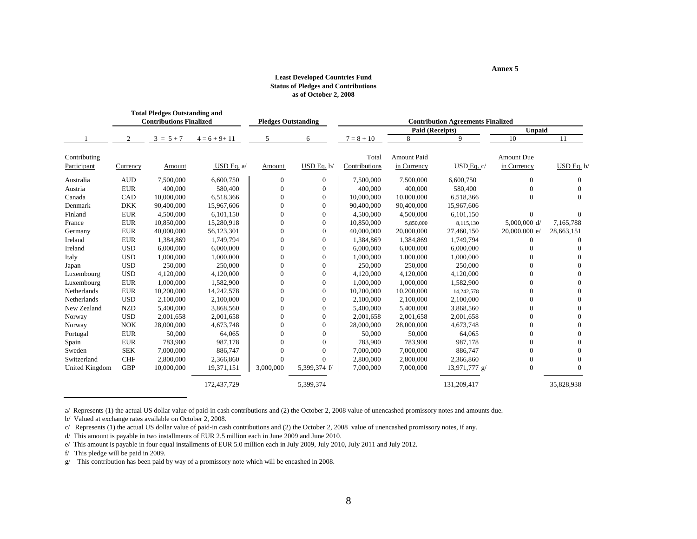#### **Least Developed Countries Fund Status of Pledges and Contributions as of October 2, 2008**

**Annex 5**

|                       |            | <b>Total Pledges Outstanding and</b><br><b>Contributions Finalized</b> |                  | <b>Pledges Outstanding</b> |                |               | <b>Contribution Agreements Finalized</b> |               |                   |            |
|-----------------------|------------|------------------------------------------------------------------------|------------------|----------------------------|----------------|---------------|------------------------------------------|---------------|-------------------|------------|
|                       |            |                                                                        |                  |                            |                |               | Paid (Receipts)                          |               | <b>Unpaid</b>     |            |
|                       | 2          | $3 = 5 + 7$                                                            | $4 = 6 + 9 + 11$ | 5                          | 6              | $7 = 8 + 10$  | 8                                        | 9             | 10                | 11         |
| Contributing          |            |                                                                        |                  |                            |                | Total         | <b>Amount Paid</b>                       |               | <b>Amount Due</b> |            |
| Participant           | Currency   | Amount                                                                 | USD Eq. a/       | Amount                     | USD Eq. b/     | Contributions | in Currency                              | USD Eq. c/    | in Currency       | USD Eq. b/ |
| Australia             | <b>AUD</b> | 7,500,000                                                              | 6,600,750        | $\overline{0}$             | $\overline{0}$ | 7,500,000     | 7,500,000                                | 6,600,750     | $\Omega$          | $\Omega$   |
| Austria               | <b>EUR</b> | 400,000                                                                | 580,400          | $\theta$                   | $\theta$       | 400,000       | 400,000                                  | 580,400       | $\Omega$          | $\Omega$   |
| Canada                | CAD        | 10,000,000                                                             | 6,518,366        | $\theta$                   | $\theta$       | 10,000,000    | 10,000,000                               | 6,518,366     | $\overline{0}$    | $\Omega$   |
| Denmark               | <b>DKK</b> | 90,400,000                                                             | 15.967.606       | $\Omega$                   | $\theta$       | 90,400,000    | 90,400,000                               | 15.967.606    |                   |            |
| Finland               | <b>EUR</b> | 4,500,000                                                              | 6,101,150        | $\Omega$                   | $\Omega$       | 4,500,000     | 4,500,000                                | 6,101,150     | $\Omega$          | $\Omega$   |
| France                | <b>EUR</b> | 10.850,000                                                             | 15,280,918       | $\Omega$                   | $\theta$       | 10.850,000    | 5,850,000                                | 8,115,130     | $5,000,000$ d/    | 7,165,788  |
| Germany               | <b>EUR</b> | 40,000,000                                                             | 56,123,301       | $\theta$                   | $\overline{0}$ | 40,000,000    | 20,000,000                               | 27,460,150    | 20,000,000 e/     | 28,663,151 |
| Ireland               | <b>EUR</b> | 1,384,869                                                              | 1,749,794        | $\Omega$                   | $\Omega$       | 1,384,869     | 1,384,869                                | 1,749,794     | $\Omega$          | $\Omega$   |
| Ireland               | <b>USD</b> | 6,000,000                                                              | 6,000,000        | $\Omega$                   | $\Omega$       | 6,000,000     | 6,000,000                                | 6,000,000     | $\Omega$          | $\Omega$   |
| Italy                 | <b>USD</b> | 1.000.000                                                              | 1,000,000        | $\Omega$                   | $\theta$       | 1.000.000     | 1.000.000                                | 1.000.000     | $\Omega$          | $\Omega$   |
| Japan                 | <b>USD</b> | 250,000                                                                | 250,000          | $\theta$                   | $\overline{0}$ | 250,000       | 250,000                                  | 250,000       |                   |            |
| Luxembourg            | <b>USD</b> | 4,120,000                                                              | 4,120,000        | $\Omega$                   | $\overline{0}$ | 4,120,000     | 4,120,000                                | 4,120,000     |                   | 0          |
| Luxembourg            | <b>EUR</b> | 1,000,000                                                              | 1,582,900        | $\Omega$                   | $\theta$       | 1,000,000     | 1,000,000                                | 1,582,900     | 0                 | $\Omega$   |
| Netherlands           | <b>EUR</b> | 10,200,000                                                             | 14,242,578       | $\Omega$                   | $\theta$       | 10.200.000    | 10,200,000                               | 14,242,578    | $\Omega$          | $\Omega$   |
| Netherlands           | <b>USD</b> | 2,100,000                                                              | 2,100,000        | $\Omega$                   | $\Omega$       | 2,100,000     | 2,100,000                                | 2,100,000     | 0                 | $\Omega$   |
| New Zealand           | <b>NZD</b> | 5,400,000                                                              | 3,868,560        | $\Omega$                   | $\theta$       | 5,400,000     | 5,400,000                                | 3,868,560     | $\Omega$          | $\Omega$   |
| Norway                | <b>USD</b> | 2,001,658                                                              | 2,001,658        | $\Omega$                   | $\theta$       | 2.001.658     | 2,001,658                                | 2,001,658     | $\Omega$          | $\Omega$   |
| Norway                | <b>NOK</b> | 28,000,000                                                             | 4,673,748        | $\Omega$                   | $\theta$       | 28,000,000    | 28,000,000                               | 4,673,748     | $\Omega$          | $\Omega$   |
| Portugal              | <b>EUR</b> | 50,000                                                                 | 64,065           | $\theta$                   | $\theta$       | 50,000        | 50,000                                   | 64,065        | $\Omega$          | 0          |
| Spain                 | <b>EUR</b> | 783,900                                                                | 987,178          | $\Omega$                   | $\Omega$       | 783,900       | 783,900                                  | 987,178       | $\Omega$          | $\Omega$   |
| Sweden                | <b>SEK</b> | 7,000,000                                                              | 886,747          | $\Omega$                   | $\Omega$       | 7,000,000     | 7,000,000                                | 886,747       | $\Omega$          | $\Omega$   |
| Switzerland           | <b>CHF</b> | 2,800,000                                                              | 2,366,860        | $\overline{0}$             | $\Omega$       | 2,800,000     | 2,800,000                                | 2,366,860     | $\Omega$          | $\Omega$   |
| <b>United Kingdom</b> | <b>GBP</b> | 10,000,000                                                             | 19,371,151       | 3,000,000                  | 5,399,374 f/   | 7,000,000     | 7,000,000                                | 13,971,777 g/ | $\theta$          | $\Omega$   |
|                       |            |                                                                        | 172,437,729      |                            | 5,399,374      |               |                                          | 131,209,417   |                   | 35,828,938 |

a/ Represents (1) the actual US dollar value of paid-in cash contributions and (2) the October 2, 2008 value of unencashed promissory notes and amounts due.

b/ Valued at exchange rates available on October 2, 2008.

c/ Represents (1) the actual US dollar value of paid-in cash contributions and (2) the October 2, 2008 value of unencashed promissory notes, if any.

d/ This amount is payable in two installments of EUR 2.5 million each in June 2009 and June 2010.

f/ This pledge will be paid in 2009.

g/ This contribution has been paid by way of a promissory note which will be encashed in 2008.

e/ This amount is payable in four equal installments of EUR 5.0 million each in July 2009, July 2010, July 2011 and July 2012.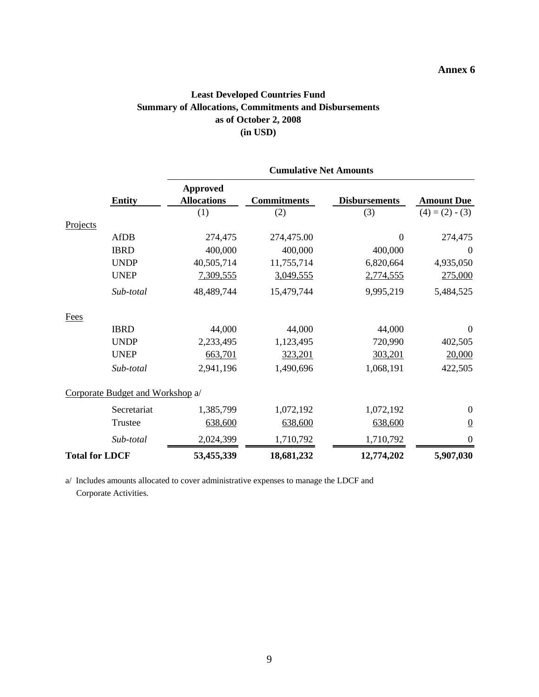### **Annex 6**

### **Least Developed Countries Fund Summary of Allocations, Commitments and Disbursements as of October 2, 2008 (in USD)**

|                       |                                  | <b>Cumulative Net Amounts</b>         |                    |                      |                   |  |  |
|-----------------------|----------------------------------|---------------------------------------|--------------------|----------------------|-------------------|--|--|
|                       | <b>Entity</b>                    | <b>Approved</b><br><b>Allocations</b> | <b>Commitments</b> | <b>Disbursements</b> | <b>Amount Due</b> |  |  |
|                       |                                  | (1)                                   | (2)                | (3)                  | $(4) = (2) - (3)$ |  |  |
| Projects              |                                  |                                       |                    |                      |                   |  |  |
|                       | <b>AfDB</b>                      | 274,475                               | 274,475.00         | $\boldsymbol{0}$     | 274,475           |  |  |
|                       | <b>IBRD</b>                      | 400,000                               | 400,000            | 400,000              | $\boldsymbol{0}$  |  |  |
|                       | <b>UNDP</b>                      | 40,505,714                            | 11,755,714         | 6,820,664            | 4,935,050         |  |  |
|                       | <b>UNEP</b>                      | 7,309,555                             | 3,049,555          | 2,774,555            | 275,000           |  |  |
|                       | Sub-total                        | 48,489,744                            | 15,479,744         | 9,995,219            | 5,484,525         |  |  |
| Fees                  |                                  |                                       |                    |                      |                   |  |  |
|                       | <b>IBRD</b>                      | 44,000                                | 44,000             | 44,000               | $\overline{0}$    |  |  |
|                       | <b>UNDP</b>                      | 2,233,495                             | 1,123,495          | 720,990              | 402,505           |  |  |
|                       | <b>UNEP</b>                      | 663,701                               | 323,201            | 303,201              | 20,000            |  |  |
|                       | Sub-total                        | 2,941,196                             | 1,490,696          | 1,068,191            | 422,505           |  |  |
|                       | Corporate Budget and Workshop a/ |                                       |                    |                      |                   |  |  |
|                       | Secretariat                      | 1,385,799                             | 1,072,192          | 1,072,192            | $\boldsymbol{0}$  |  |  |
|                       | Trustee                          | 638,600                               | 638,600            | 638,600              | $\overline{0}$    |  |  |
|                       | Sub-total                        | 2,024,399                             | 1,710,792          | 1,710,792            | 0                 |  |  |
| <b>Total for LDCF</b> |                                  | 53,455,339                            | 18,681,232         | 12,774,202           | 5,907,030         |  |  |

a/ Includes amounts allocated to cover administrative expenses to manage the LDCF and Corporate Activities.